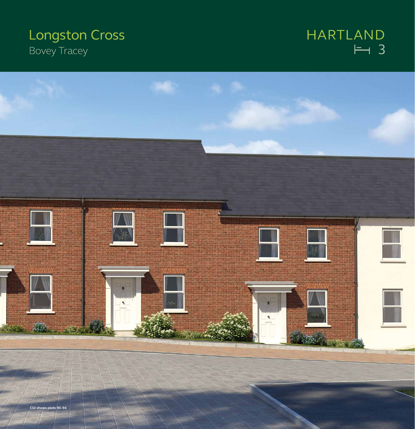# **Longston Cross Bovey Tracey**

## $\overline{H}$  3 HARTLAND